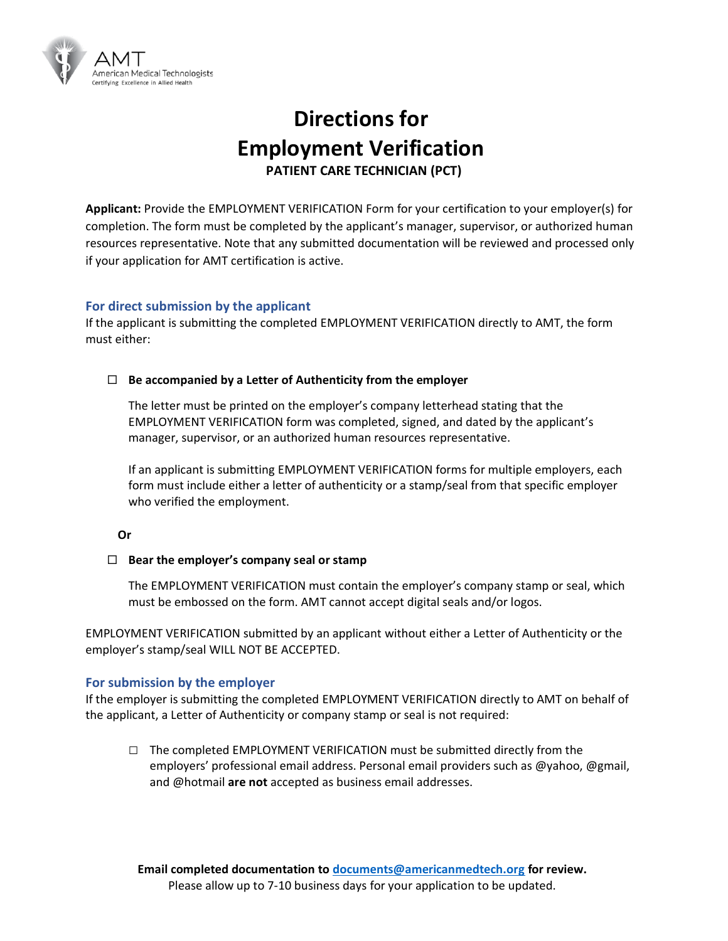

# **Directions for Employment Verification PATIENT CARE TECHNICIAN (PCT)**

**Applicant:** Provide the EMPLOYMENT VERIFICATION Form for your certification to your employer(s) for completion. The form must be completed by the applicant's manager, supervisor, or authorized human resources representative. Note that any submitted documentation will be reviewed and processed only if your application for AMT certification is active.

### **For direct submission by the applicant**

If the applicant is submitting the completed EMPLOYMENT VERIFICATION directly to AMT, the form must either:

#### **Be accompanied by a Letter of Authenticity from the employer**

The letter must be printed on the employer's company letterhead stating that the EMPLOYMENT VERIFICATION form was completed, signed, and dated by the applicant's manager, supervisor, or an authorized human resources representative.

If an applicant is submitting EMPLOYMENT VERIFICATION forms for multiple employers, each form must include either a letter of authenticity or a stamp/seal from that specific employer who verified the employment.

#### **Or**

#### **Bear the employer's company seal or stamp**

The EMPLOYMENT VERIFICATION must contain the employer's company stamp or seal, which must be embossed on the form. AMT cannot accept digital seals and/or logos.

EMPLOYMENT VERIFICATION submitted by an applicant without either a Letter of Authenticity or the employer's stamp/seal WILL NOT BE ACCEPTED.

#### **For submission by the employer**

If the employer is submitting the completed EMPLOYMENT VERIFICATION directly to AMT on behalf of the applicant, a Letter of Authenticity or company stamp or seal is not required:

**□** The completed EMPLOYMENT VERIFICATION must be submitted directly from the employers' professional email address. Personal email providers such as @yahoo, @gmail, and @hotmail **are not** accepted as business email addresses.